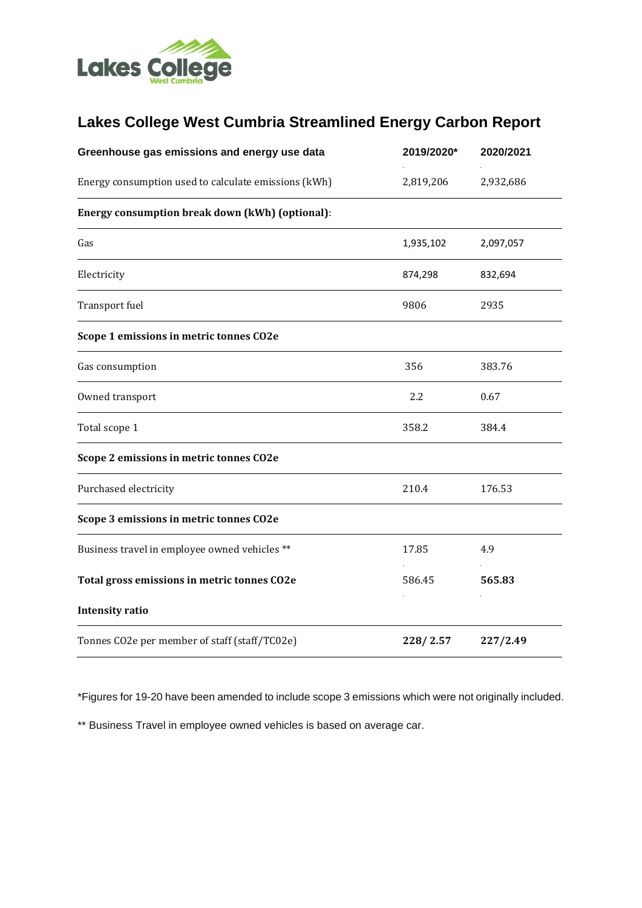

## **Lakes College West Cumbria Streamlined Energy Carbon Report**

| Greenhouse gas emissions and energy use data         | 2019/2020* | 2020/2021 |
|------------------------------------------------------|------------|-----------|
| Energy consumption used to calculate emissions (kWh) | 2,819,206  | 2,932,686 |
| Energy consumption break down (kWh) (optional):      |            |           |
| Gas                                                  | 1,935,102  | 2,097,057 |
| Electricity                                          | 874,298    | 832,694   |
| Transport fuel                                       | 9806       | 2935      |
| Scope 1 emissions in metric tonnes CO2e              |            |           |
| Gas consumption                                      | 356        | 383.76    |
| Owned transport                                      | 2.2        | 0.67      |
| Total scope 1                                        | 358.2      | 384.4     |
| Scope 2 emissions in metric tonnes CO2e              |            |           |
| Purchased electricity                                | 210.4      | 176.53    |
| Scope 3 emissions in metric tonnes CO2e              |            |           |
| Business travel in employee owned vehicles **        | 17.85      | 4.9       |
| Total gross emissions in metric tonnes CO2e          | 586.45     | 565.83    |
| <b>Intensity ratio</b>                               |            |           |
| Tonnes CO2e per member of staff (staff/TC02e)        | 228/2.57   | 227/2.49  |

\*Figures for 19-20 have been amended to include scope 3 emissions which were not originally included.

\*\* Business Travel in employee owned vehicles is based on average car.